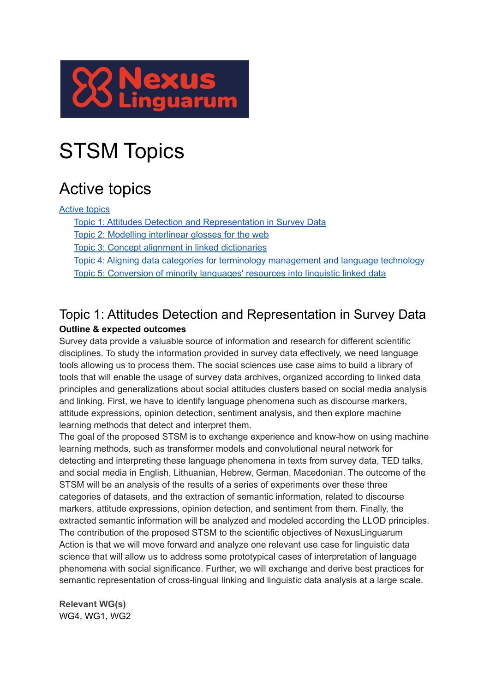

# STSM Topics

# <span id="page-0-0"></span>Active topics

### [Active](#page-0-0) topics

Topic 1: Attitudes Detection and [Representation](#page-0-1) in Survey Data

Topic 2: Modelling [interlinear](#page-1-0) glosses for the web

Topic 3: Concept alignment in linked [dictionaries](#page-2-0)

Topic 4: Aligning data categories for terminology [management](#page-3-0) and language technology

Topic 5: [Conversion](#page-4-0) of minority languages' resources into linguistic linked data

### <span id="page-0-1"></span>Topic 1: Attitudes Detection and Representation in Survey Data **Outline & expected outcomes**

Survey data provide a valuable source of information and research for different scientific disciplines. To study the information provided in survey data effectively, we need language tools allowing us to process them. The social sciences use case aims to build a library of tools that will enable the usage of survey data archives, organized according to linked data principles and generalizations about social attitudes clusters based on social media analysis and linking. First, we have to identify language phenomena such as discourse markers, attitude expressions, opinion detection, sentiment analysis, and then explore machine learning methods that detect and interpret them.

The goal of the proposed STSM is to exchange experience and know-how on using machine learning methods, such as transformer models and convolutional neural network for detecting and interpreting these language phenomena in texts from survey data, TED talks, and social media in English, Lithuanian, Hebrew, German, Macedonian. The outcome of the STSM will be an analysis of the results of a series of experiments over these three categories of datasets, and the extraction of semantic information, related to discourse markers, attitude expressions, opinion detection, and sentiment from them. Finally, the extracted semantic information will be analyzed and modeled according the LLOD principles. The contribution of the proposed STSM to the scientific objectives of NexusLinguarum Action is that we will move forward and analyze one relevant use case for linguistic data science that will allow us to address some prototypical cases of interpretation of language phenomena with social significance. Further, we will exchange and derive best practices for semantic representation of cross-lingual linking and linguistic data analysis at a large scale.

**Relevant WG(s)** WG4, WG1, WG2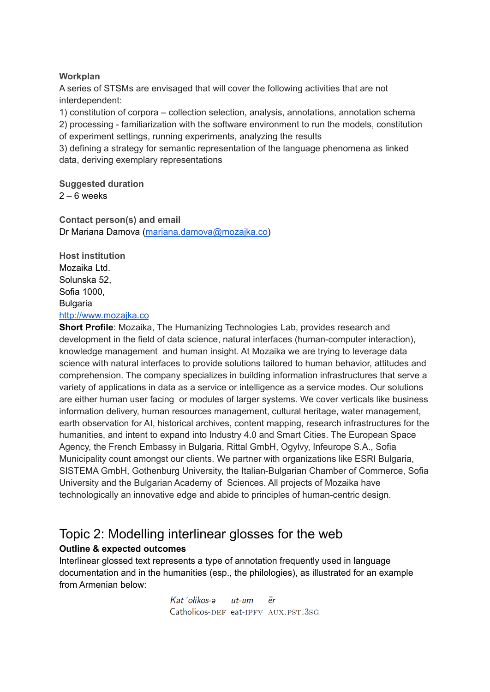#### **Workplan**

A series of STSMs are envisaged that will cover the following activities that are not interdependent:

1) constitution of corpora – collection selection, analysis, annotations, annotation schema

2) processing - familiarization with the software environment to run the models, constitution of experiment settings, running experiments, analyzing the results

3) defining a strategy for semantic representation of the language phenomena as linked data, deriving exemplary representations

**Suggested duration**  $2 - 6$  weeks

**Contact person(s) and email** Dr Mariana Damova [\(mariana.damova@mozajka.co\)](mailto:mariana.damova@mozajka.co)

**Host institution** Mozaika Ltd. Solunska 52, Sofia 1000, Bulgaria <http://www.mozajka.co>

**Short Profile**: Mozaika, The Humanizing Technologies Lab, provides research and development in the field of data science, natural interfaces (human-computer interaction), knowledge management and human insight. At Mozaika we are trying to leverage data science with natural interfaces to provide solutions tailored to human behavior, attitudes and comprehension. The company specializes in building information infrastructures that serve a variety of applications in data as a service or intelligence as a service modes. Our solutions are either human user facing or modules of larger systems. We cover verticals like business information delivery, human resources management, cultural heritage, water management, earth observation for AI, historical archives, content mapping, research infrastructures for the humanities, and intent to expand into Industry 4.0 and Smart Cities. The European Space Agency, the French Embassy in Bulgaria, Rittal GmbH, Ogylvy, Infeurope S.A., Sofia Municipality count amongst our clients. We partner with organizations like ESRI Bulgaria, SISTEMA GmbH, Gothenburg University, the Italian-Bulgarian Chamber of Commerce, Sofia University and the Bulgarian Academy of Sciences. All projects of Mozaika have technologically an innovative edge and abide to principles of human-centric design.

### <span id="page-1-0"></span>Topic 2: Modelling interlinear glosses for the web **Outline & expected outcomes**

Interlinear glossed text represents a type of annotation frequently used in language documentation and in the humanities (esp., the philologies), as illustrated for an example from Armenian below:

> $Kat$  otikos-a  $\bar{p}r$  $ut$ -um Catholicos-DEF eat-IPFV AUX.PST.3SG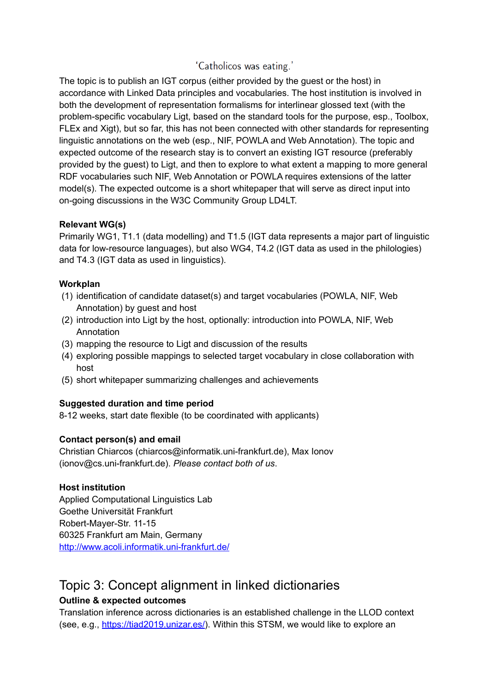### 'Catholicos was eating.'

The topic is to publish an IGT corpus (either provided by the guest or the host) in accordance with Linked Data principles and vocabularies. The host institution is involved in both the development of representation formalisms for interlinear glossed text (with the problem-specific vocabulary Ligt, based on the standard tools for the purpose, esp., Toolbox, FLEx and Xigt), but so far, this has not been connected with other standards for representing linguistic annotations on the web (esp., NIF, POWLA and Web Annotation). The topic and expected outcome of the research stay is to convert an existing IGT resource (preferably provided by the guest) to Ligt, and then to explore to what extent a mapping to more general RDF vocabularies such NIF, Web Annotation or POWLA requires extensions of the latter model(s). The expected outcome is a short whitepaper that will serve as direct input into on-going discussions in the W3C Community Group LD4LT.

### **Relevant WG(s)**

Primarily WG1, T1.1 (data modelling) and T1.5 (IGT data represents a major part of linguistic data for low-resource languages), but also WG4, T4.2 (IGT data as used in the philologies) and T4.3 (IGT data as used in linguistics).

### **Workplan**

- (1) identification of candidate dataset(s) and target vocabularies (POWLA, NIF, Web Annotation) by guest and host
- (2) introduction into Ligt by the host, optionally: introduction into POWLA, NIF, Web Annotation
- (3) mapping the resource to Ligt and discussion of the results
- (4) exploring possible mappings to selected target vocabulary in close collaboration with host
- (5) short whitepaper summarizing challenges and achievements

### **Suggested duration and time period**

8-12 weeks, start date flexible (to be coordinated with applicants)

### **Contact person(s) and email**

Christian Chiarcos (chiarcos@informatik.uni-frankfurt.de), Max Ionov (ionov@cs.uni-frankfurt.de). *Please contact both of us*.

#### **Host institution**

Applied Computational Linguistics Lab Goethe Universität Frankfurt Robert-Mayer-Str. 11-15 60325 Frankfurt am Main, Germany <http://www.acoli.informatik.uni-frankfurt.de/>

### <span id="page-2-0"></span>Topic 3: Concept alignment in linked dictionaries **Outline & expected outcomes**

Translation inference across dictionaries is an established challenge in the LLOD context (see, e.g., <https://tiad2019.unizar.es/>). Within this STSM, we would like to explore an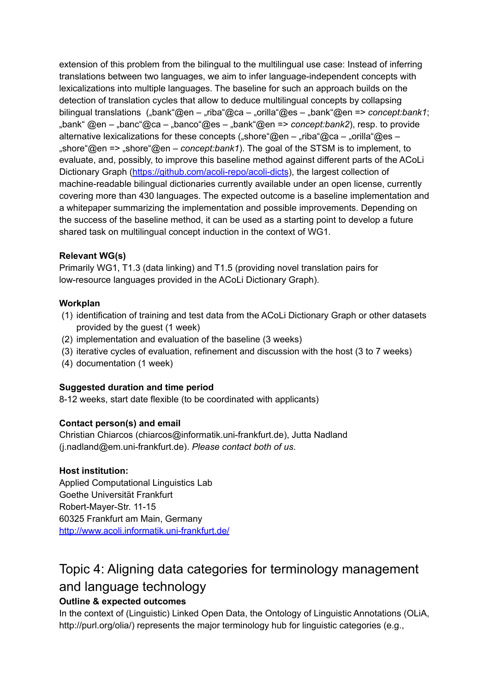extension of this problem from the bilingual to the multilingual use case: Instead of inferring translations between two languages, we aim to infer language-independent concepts with lexicalizations into multiple languages. The baseline for such an approach builds on the detection of translation cycles that allow to deduce multilingual concepts by collapsing bilingual translations ("bank"@en – "riba"@ca – "orilla"@es – "bank"@en => *concept:bank1*; "bank" @en – "banc"@ca – "banco"@es – "bank"@en => *concept:bank2*), resp. to provide alternative lexicalizations for these concepts ("shore"@en – "riba"@ca – "orilla"@es – "shore"@en => "shore"@en – *concept:bank1*). The goal of the STSM is to implement, to evaluate, and, possibly, to improve this baseline method against different parts of the ACoLi Dictionary Graph [\(https://github.com/acoli-repo/acoli-dicts](https://github.com/acoli-repo/acoli-dicts)), the largest collection of machine-readable bilingual dictionaries currently available under an open license, currently covering more than 430 languages. The expected outcome is a baseline implementation and a whitepaper summarizing the implementation and possible improvements. Depending on the success of the baseline method, it can be used as a starting point to develop a future shared task on multilingual concept induction in the context of WG1.

### **Relevant WG(s)**

Primarily WG1, T1.3 (data linking) and T1.5 (providing novel translation pairs for low-resource languages provided in the ACoLi Dictionary Graph).

### **Workplan**

- (1) identification of training and test data from the ACoLi Dictionary Graph or other datasets provided by the guest (1 week)
- (2) implementation and evaluation of the baseline (3 weeks)
- (3) iterative cycles of evaluation, refinement and discussion with the host (3 to 7 weeks)
- (4) documentation (1 week)

### **Suggested duration and time period**

8-12 weeks, start date flexible (to be coordinated with applicants)

### **Contact person(s) and email**

Christian Chiarcos (chiarcos@informatik.uni-frankfurt.de), Jutta Nadland (j.nadland@em.uni-frankfurt.de). *Please contact both of us*.

### **Host institution:**

Applied Computational Linguistics Lab Goethe Universität Frankfurt Robert-Mayer-Str. 11-15 60325 Frankfurt am Main, Germany <http://www.acoli.informatik.uni-frankfurt.de/>

# <span id="page-3-0"></span>Topic 4: Aligning data categories for terminology management and language technology

### **Outline & expected outcomes**

In the context of (Linguistic) Linked Open Data, the Ontology of Linguistic Annotations (OLiA, http://purl.org/olia/) represents the major terminology hub for linguistic categories (e.g.,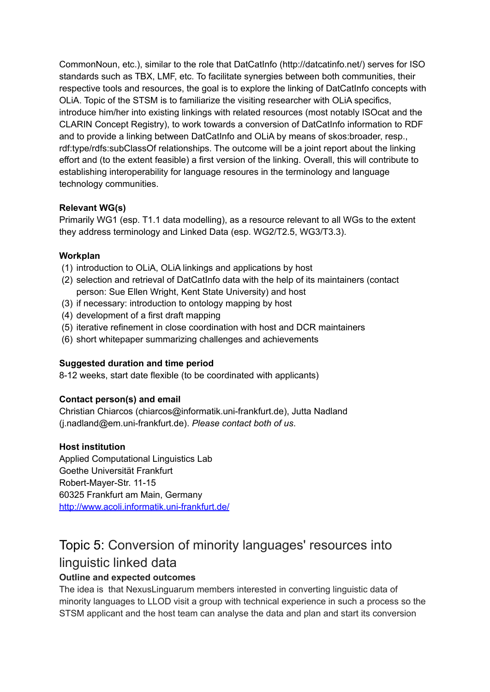CommonNoun, etc.), similar to the role that DatCatInfo (http://datcatinfo.net/) serves for ISO standards such as TBX, LMF, etc. To facilitate synergies between both communities, their respective tools and resources, the goal is to explore the linking of DatCatInfo concepts with OLiA. Topic of the STSM is to familiarize the visiting researcher with OLiA specifics, introduce him/her into existing linkings with related resources (most notably ISOcat and the CLARIN Concept Registry), to work towards a conversion of DatCatInfo information to RDF and to provide a linking between DatCatInfo and OLiA by means of skos:broader, resp., rdf:type/rdfs:subClassOf relationships. The outcome will be a joint report about the linking effort and (to the extent feasible) a first version of the linking. Overall, this will contribute to establishing interoperability for language resoures in the terminology and language technology communities.

### **Relevant WG(s)**

Primarily WG1 (esp. T1.1 data modelling), as a resource relevant to all WGs to the extent they address terminology and Linked Data (esp. WG2/T2.5, WG3/T3.3).

### **Workplan**

- (1) introduction to OLiA, OLiA linkings and applications by host
- (2) selection and retrieval of DatCatInfo data with the help of its maintainers (contact person: Sue Ellen Wright, Kent State University) and host
- (3) if necessary: introduction to ontology mapping by host
- (4) development of a first draft mapping
- (5) iterative refinement in close coordination with host and DCR maintainers
- (6) short whitepaper summarizing challenges and achievements

### **Suggested duration and time period**

8-12 weeks, start date flexible (to be coordinated with applicants)

### **Contact person(s) and email**

Christian Chiarcos (chiarcos@informatik.uni-frankfurt.de), Jutta Nadland (j.nadland@em.uni-frankfurt.de). *Please contact both of us*.

#### **Host institution**

Applied Computational Linguistics Lab Goethe Universität Frankfurt Robert-Mayer-Str. 11-15 60325 Frankfurt am Main, Germany <http://www.acoli.informatik.uni-frankfurt.de/>

## <span id="page-4-0"></span>Topic 5: Conversion of minority languages' resources into linguistic linked data

### **Outline and expected outcomes**

The idea is that NexusLinguarum members interested in converting linguistic data of minority languages to LLOD visit a group with technical experience in such a process so the STSM applicant and the host team can analyse the data and plan and start its conversion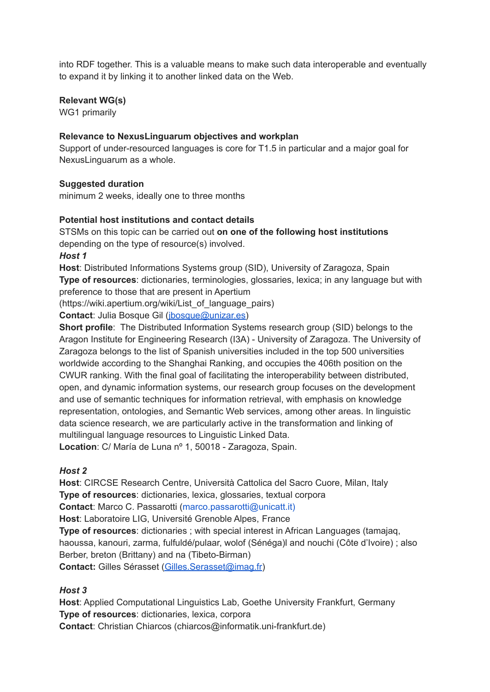into RDF together. This is a valuable means to make such data interoperable and eventually to expand it by linking it to another linked data on the Web.

### **Relevant WG(s)**

WG1 primarily

### **Relevance to NexusLinguarum objectives and workplan**

Support of under-resourced languages is core for T1.5 in particular and a major goal for NexusLinguarum as a whole.

### **Suggested duration**

minimum 2 weeks, ideally one to three months

### **Potential host institutions and contact details**

STSMs on this topic can be carried out **on one of the following host institutions** depending on the type of resource(s) involved. *Host 1*

**Host**: Distributed Informations Systems group (SID), University of Zaragoza, Spain **Type of resources**: dictionaries, terminologies, glossaries, lexica; in any language but with preference to those that are present in Apertium

(https://wiki.apertium.org/wiki/List\_of\_language\_pairs)

**Contact:** Julia Bosque Gil (*jbosque@unizar.es*)

**Short profile**: The Distributed Information Systems research group (SID) belongs to the Aragon Institute for Engineering Research (I3A) - University of Zaragoza. The University of Zaragoza belongs to the list of Spanish universities included in the top 500 universities worldwide according to the Shanghai Ranking, and occupies the 406th position on the CWUR ranking. With the final goal of facilitating the interoperability between distributed, open, and dynamic information systems, our research group focuses on the development and use of semantic techniques for information retrieval, with emphasis on knowledge representation, ontologies, and Semantic Web services, among other areas. In linguistic data science research, we are particularly active in the transformation and linking of multilingual language resources to Linguistic Linked Data.

**Location**: C/ María de Luna nº 1, 50018 - Zaragoza, Spain.

### *Host 2*

**Host**: CIRCSE Research Centre, Università Cattolica del Sacro Cuore, Milan, Italy **Type of resources**: dictionaries, lexica, glossaries, textual corpora **Contact**: Marco C. Passarotti (marco.passarotti@unicatt.it) **Host**: Laboratoire LIG, Université Grenoble Alpes, France **Type of resources**: dictionaries ; with special interest in African Languages (tamajaq, haoussa, kanouri, zarma, fulfuldé/pulaar, wolof (Sénéga)l and nouchi (Côte d'Ivoire) ; also Berber, breton (Brittany) and na (Tibeto-Birman) **Contact:** Gilles Sérasset [\(Gilles.Serasset@imag.fr\)](mailto:Gilles.Serasset@imag.fr)

### *Host 3*

**Host**: Applied Computational Linguistics Lab, Goethe University Frankfurt, Germany **Type of resources**: dictionaries, lexica, corpora **Contact**: Christian Chiarcos (chiarcos@informatik.uni-frankfurt.de)